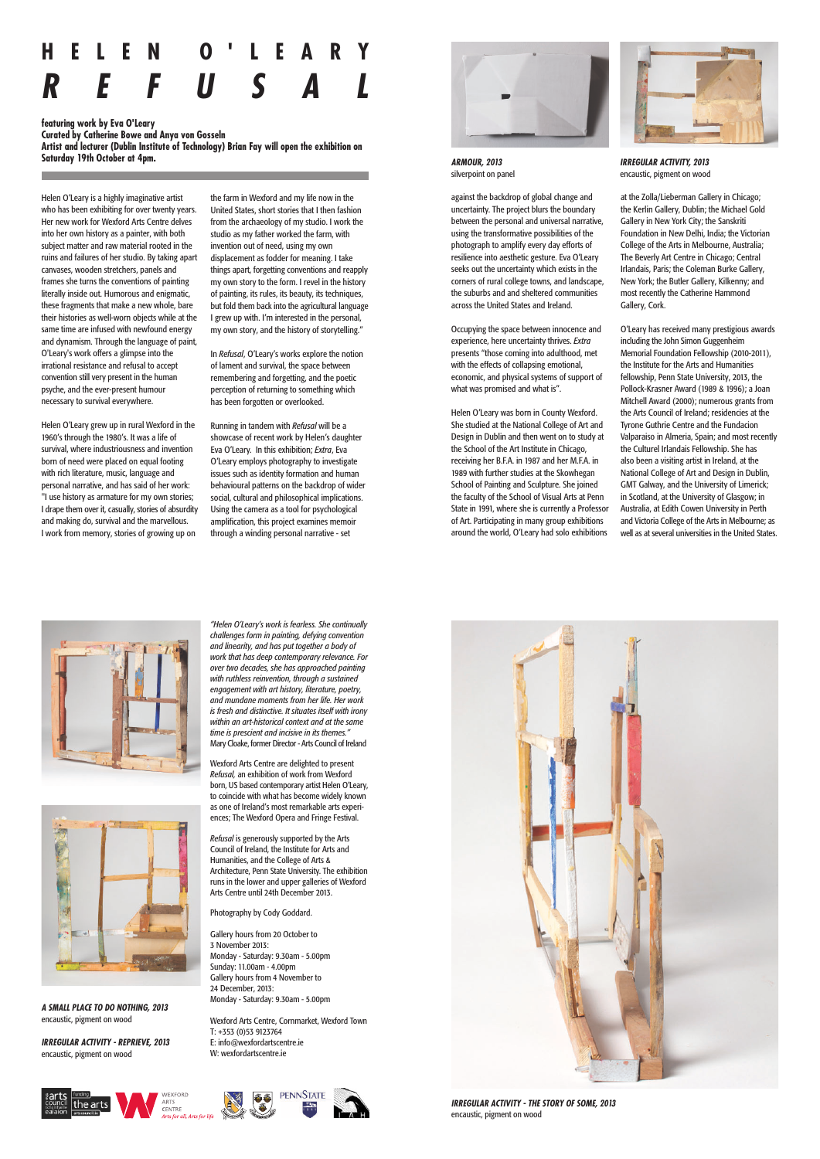

Wexford Arts Centre are delighted to present *Refusal,* an exhibition of work from Wexford born, US based contemporary artist Helen O'Leary, to coincide with what has become widely known as one of Ireland's most remarkable arts experiences; The Wexford Opera and Fringe Festival.

*Refusal* is generously supported by the Arts Council of Ireland, the Institute for Arts and Humanities, and the College of Arts & Architecture, Penn State University. The exhibition





runs in the lower and upper galleries of Wexford Arts Centre until 24th December 2013.

Photography by Cody Goddard.

Gallery hours from 20 October to 3 November 2013: Monday - Saturday: 9.30am - 5.00pm Sunday: 11.00am - 4.00pm Gallery hours from 4 November to 24 December, 2013: Monday - Saturday: 9.30am - 5.00pm

Wexford Arts Centre, Cornmarket, Wexford Town T: +353 (0)53 9123764 E: info@wexfordartscentre.ie W: wexfordartscentre.ie



Helen O'Leary is a highly imaginative artist who has been exhibiting for over twenty years. Her new work for Wexford Arts Centre delves into her own history as a painter, with both subject matter and raw material rooted in the ruins and failures of her studio. By taking apart canvases, wooden stretchers, panels and frames she turns the conventions of painting literally inside out. Humorous and enigmatic, these fragments that make a new whole, bare their histories as well-worn objects while at the same time are infused with newfound energy and dynamism. Through the language of paint, O'Leary's work offers a glimpse into the irrational resistance and refusal to accept convention still very present in the human psyche, and the ever-present humour necessary to survival everywhere.

Helen O'Leary grew up in rural Wexford in the 1960's through the 1980's. It was a life of survival, where industriousness and invention born of need were placed on equal footing with rich literature, music, language and personal narrative, and has said of her work: "I use history as armature for my own stories; I drape them over it, casually, stories of absurdity and making do, survival and the marvellous. I work from memory, stories of growing up on

the farm in Wexford and my life now in the United States, short stories that I then fashion from the archaeology of my studio. I work the studio as my father worked the farm, with invention out of need, using my own displacement as fodder for meaning. I take things apart, forgetting conventions and reapply my own story to the form. I revel in the history of painting, its rules, its beauty, its techniques, but fold them back into the agricultural language I grew up with. I'm interested in the personal, my own story, and the history of storytelling."

In *Refusal*, O'Leary's works explore the notion of lament and survival, the space between remembering and forgetting, and the poetic perception of returning to something which has been forgotten or overlooked.

Running in tandem with *Refusal* will be a showcase of recent work by Helen's daughter Eva O'Leary. In this exhibition; *Extra*, Eva O'Leary employs photography to investigate issues such as identity formation and human behavioural patterns on the backdrop of wider social, cultural and philosophical implications. Using the camera as a tool for psychological amplification, this project examines memoir through a winding personal narrative - set

against the backdrop of global change and uncertainty. The project blurs the boundary between the personal and universal narrative, using the transformative possibilities of the photograph to amplify every day efforts of resilience into aesthetic gesture. Eva O'Leary seeks out the uncertainty which exists in the corners of rural college towns, and landscape, the suburbs and and sheltered communities across the United States and Ireland.

Occupying the space between innocence and experience, here uncertainty thrives. *Extra* presents "those coming into adulthood, met with the effects of collapsing emotional, economic, and physical systems of support of what was promised and what is".

Helen O'Leary was born in County Wexford. She studied at the National College of Art and Design in Dublin and then went on to study at the School of the Art Institute in Chicago, receiving her B.F.A. in 1987 and her M.F.A. in 1989 with further studies at the Skowhegan School of Painting and Sculpture. She joined the faculty of the School of Visual Arts at Penn State in 1991, where she is currently a Professor of Art. Participating in many group exhibitions around the world, O'Leary had solo exhibitions

at the Zolla/Lieberman Gallery in Chicago; the Kerlin Gallery, Dublin; the Michael Gold Gallery in New York City; the Sanskriti Foundation in New Delhi, India; the Victorian College of the Arts in Melbourne, Australia; The Beverly Art Centre in Chicago; Central Irlandais, Paris; the Coleman Burke Gallery, New York; the Butler Gallery, Kilkenny; and most recently the Catherine Hammond Gallery, Cork.

O'Leary has received many prestigious awards including the John Simon Guggenheim Memorial Foundation Fellowship (2010-2011), the Institute for the Arts and Humanities fellowship, Penn State University, 2013, the Pollock-Krasner Award (1989 & 1996); a Joan Mitchell Award (2000); numerous grants from the Arts Council of Ireland; residencies at the Tyrone Guthrie Centre and the Fundacion Valparaiso in Almeria, Spain; and most recently the Culturel Irlandais Fellowship. She has also been a visiting artist in Ireland, at the National College of Art and Design in Dublin, GMT Galway, and the University of Limerick; in Scotland, at the University of Glasgow; in Australia, at Edith Cowen University in Perth and Victoria College of the Arts in Melbourne; as well as at several universities in the United States.



**featuring work by Eva O'Leary Curated by Catherine Bowe and Anya von Gosseln Artist and lecturer (Dublin Institute of Technology) Brian Fay will open the exhibition on Saturday 19th October at 4pm.**

## **H E L E N O ' L E A R Y** *R E F U S A L*



*ARMOUR, 2013* silverpoint on panel



*IRREGULAR ACTIVITY, 2013* encaustic, pigment on wood

*IRREGULAR ACTIVITY - THE STORY OF SOME, 2013* encaustic, pigment on wood

*A SMALL PLACE TO DO NOTHING, 2013* encaustic, pigment on wood

*IRREGULAR ACTIVITY - REPRIEVE, 2013* encaustic, pigment on wood